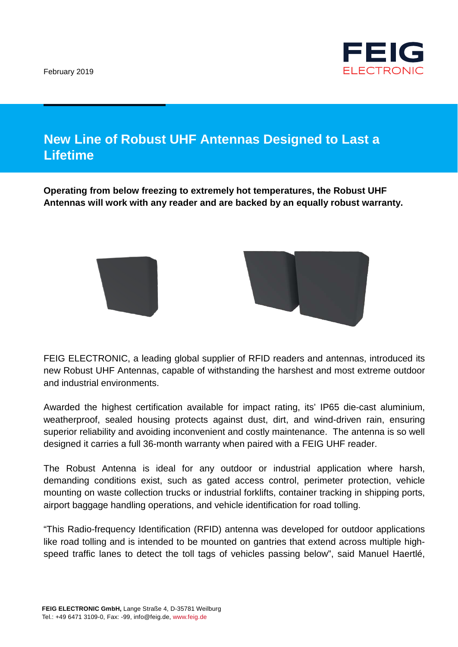February 2019



## **New Line of Robust UHF Antennas Designed to Last a Lifetime**

**Operating from below freezing to extremely hot temperatures, the Robust UHF Antennas will work with any reader and are backed by an equally robust warranty.**



FEIG ELECTRONIC, a leading global supplier of RFID readers and antennas, introduced its new Robust UHF Antennas, capable of withstanding the harshest and most extreme outdoor and industrial environments.

Awarded the highest certification available for impact rating, its' IP65 die-cast aluminium, weatherproof, sealed housing protects against dust, dirt, and wind-driven rain, ensuring superior reliability and avoiding inconvenient and costly maintenance. The antenna is so well designed it carries a full 36-month warranty when paired with a FEIG UHF reader.

The Robust Antenna is ideal for any outdoor or industrial application where harsh, demanding conditions exist, such as gated access control, perimeter protection, vehicle mounting on waste collection trucks or industrial forklifts, container tracking in shipping ports, airport baggage handling operations, and vehicle identification for road tolling.

"This Radio-frequency Identification (RFID) antenna was developed for outdoor applications like road tolling and is intended to be mounted on gantries that extend across multiple highspeed traffic lanes to detect the toll tags of vehicles passing below", said Manuel Haertlé,